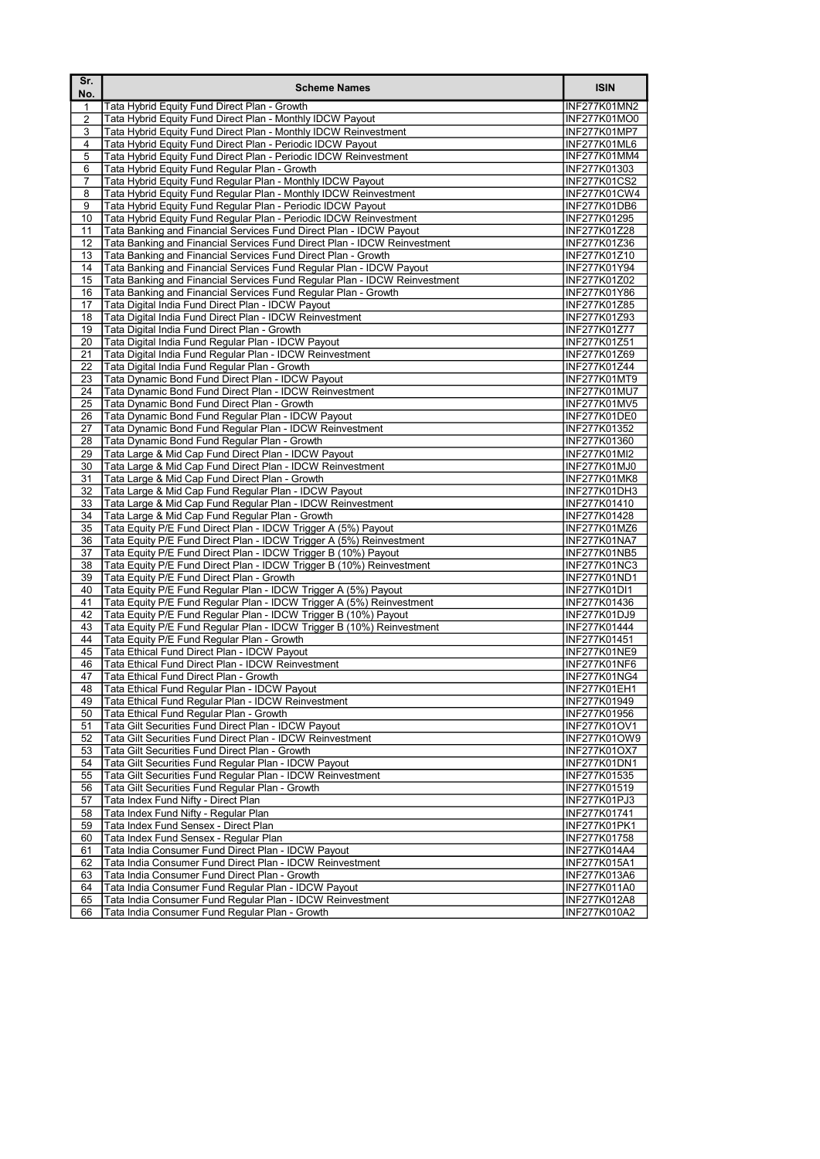| Sr.<br>No. | <b>Scheme Names</b>                                                                                                                    | <b>ISIN</b>                         |
|------------|----------------------------------------------------------------------------------------------------------------------------------------|-------------------------------------|
| 1          | Tata Hybrid Equity Fund Direct Plan - Growth                                                                                           | INF277K01MN2                        |
| 2          | Tata Hybrid Equity Fund Direct Plan - Monthly IDCW Payout                                                                              | INF277K01MO0                        |
| 3          | Tata Hybrid Equity Fund Direct Plan - Monthly IDCW Reinvestment                                                                        | INF277K01MP7                        |
| 4          | Tata Hybrid Equity Fund Direct Plan - Periodic IDCW Payout                                                                             | INF277K01ML6                        |
| 5          | Tata Hybrid Equity Fund Direct Plan - Periodic IDCW Reinvestment                                                                       | <b>INF277K01MM4</b>                 |
| 6<br>7     | Tata Hybrid Equity Fund Regular Plan - Growth<br>Tata Hybrid Equity Fund Regular Plan - Monthly IDCW Payout                            | INF277K01303<br><b>INF277K01CS2</b> |
| 8          | Tata Hybrid Equity Fund Regular Plan - Monthly IDCW Reinvestment                                                                       | INF277K01CW4                        |
| 9          | Tata Hybrid Equity Fund Regular Plan - Periodic IDCW Payout                                                                            | INF277K01DB6                        |
| 10         | Tata Hybrid Equity Fund Reqular Plan - Periodic IDCW Reinvestment                                                                      | INF277K01295                        |
| 11         | Tata Banking and Financial Services Fund Direct Plan - IDCW Payout                                                                     | INF277K01Z28                        |
| 12         | Tata Banking and Financial Services Fund Direct Plan - IDCW Reinvestment                                                               | INF277K01Z36                        |
| 13         | Tata Banking and Financial Services Fund Direct Plan - Growth                                                                          | INF277K01Z10                        |
| 14         | Tata Banking and Financial Services Fund Regular Plan - IDCW Payout                                                                    | INF277K01Y94                        |
| 15         | Tata Banking and Financial Services Fund Regular Plan - IDCW Reinvestment                                                              | INF277K01Z02                        |
| 16         | Tata Banking and Financial Services Fund Regular Plan - Growth                                                                         | INF277K01Y86                        |
| 17<br>18   | Tata Digital India Fund Direct Plan - IDCW Payout<br>Tata Digital India Fund Direct Plan - IDCW Reinvestment                           | INF277K01Z85<br>INF277K01Z93        |
| 19         | Tata Digital India Fund Direct Plan - Growth                                                                                           | INF277K01Z77                        |
| 20         | Tata Digital India Fund Regular Plan - IDCW Payout                                                                                     | INF277K01Z51                        |
| 21         | Tata Digital India Fund Regular Plan - IDCW Reinvestment                                                                               | INF277K01Z69                        |
| 22         | Tata Digital India Fund Regular Plan - Growth                                                                                          | INF277K01Z44                        |
| 23         | Tata Dynamic Bond Fund Direct Plan - IDCW Payout                                                                                       | INF277K01MT9                        |
| 24         | Tata Dynamic Bond Fund Direct Plan - IDCW Reinvestment                                                                                 | INF277K01MU7                        |
| 25         | Tata Dynamic Bond Fund Direct Plan - Growth                                                                                            | <b>INF277K01MV5</b>                 |
| 26         | Tata Dynamic Bond Fund Regular Plan - IDCW Payout                                                                                      | INF277K01DE0                        |
| 27<br>28   | Tata Dynamic Bond Fund Regular Plan - IDCW Reinvestment<br>Tata Dynamic Bond Fund Regular Plan - Growth                                | INF277K01352<br>INF277K01360        |
| 29         | Tata Large & Mid Cap Fund Direct Plan - IDCW Payout                                                                                    | <b>INF277K01MI2</b>                 |
| 30         | Tata Large & Mid Cap Fund Direct Plan - IDCW Reinvestment                                                                              | INF277K01MJ0                        |
| 31         | Tata Large & Mid Cap Fund Direct Plan - Growth                                                                                         | INF277K01MK8                        |
| 32         | Tata Large & Mid Cap Fund Regular Plan - IDCW Payout                                                                                   | INF277K01DH3                        |
| 33         | Tata Large & Mid Cap Fund Regular Plan - IDCW Reinvestment                                                                             | INF277K01410                        |
| 34         | Tata Large & Mid Cap Fund Regular Plan - Growth                                                                                        | INF277K01428                        |
| 35         | Tata Equity P/E Fund Direct Plan - IDCW Trigger A (5%) Payout                                                                          | INF277K01MZ6                        |
| 36         | Tata Equity P/E Fund Direct Plan - IDCW Trigger A (5%) Reinvestment                                                                    | INF277K01NA7                        |
| 37<br>38   | Tata Equity P/E Fund Direct Plan - IDCW Trigger B (10%) Payout<br>Tata Equity P/E Fund Direct Plan - IDCW Trigger B (10%) Reinvestment | INF277K01NB5                        |
| 39         | Tata Equity P/E Fund Direct Plan - Growth                                                                                              | <b>INF277K01NC3</b><br>INF277K01ND1 |
| 40         | Tata Equity P/E Fund Regular Plan - IDCW Trigger A (5%) Payout                                                                         | INF277K01DI1                        |
| 41         | Tata Equity P/E Fund Regular Plan - IDCW Trigger A (5%) Reinvestment                                                                   | INF277K01436                        |
| 42         | Tata Equity P/E Fund Regular Plan - IDCW Trigger B (10%) Payout                                                                        | INF277K01DJ9                        |
| 43         | Tata Equity P/E Fund Regular Plan - IDCW Trigger B (10%) Reinvestment                                                                  | INF277K01444                        |
| 44         | Tata Equity P/E Fund Regular Plan - Growth                                                                                             | INF277K01451                        |
| 45         | Tata Ethical Fund Direct Plan - IDCW Payout                                                                                            | INF277K01NE9                        |
| 46         | Tata Ethical Fund Direct Plan - IDCW Reinvestment                                                                                      | INF277K01NF6                        |
| 47<br>48   | Tata Ethical Fund Direct Plan - Growth                                                                                                 | INF277K01NG4                        |
| 49         | Tata Ethical Fund Regular Plan - IDCW Payout<br>Tata Ethical Fund Regular Plan - IDCW Reinvestment                                     | INF277K01EH1<br>INF277K01949        |
| 50         | Tata Ethical Fund Regular Plan - Growth                                                                                                | INF277K01956                        |
| 51         | Tata Gilt Securities Fund Direct Plan - IDCW Payout                                                                                    | INF277K01OV1                        |
| 52         | Tata Gilt Securities Fund Direct Plan - IDCW Reinvestment                                                                              | INF277K01OW9                        |
| 53         | Tata Gilt Securities Fund Direct Plan - Growth                                                                                         | INF277K01OX7                        |
| 54         | Tata Gilt Securities Fund Regular Plan - IDCW Payout                                                                                   | INF277K01DN1                        |
| 55         | Tata Gilt Securities Fund Regular Plan - IDCW Reinvestment                                                                             | INF277K01535                        |
| 56         | Tata Gilt Securities Fund Regular Plan - Growth                                                                                        | INF277K01519                        |
| 57         | Tata Index Fund Nifty - Direct Plan                                                                                                    | INF277K01PJ3                        |
| 58<br>59   | Tata Index Fund Nifty - Regular Plan<br>Tata Index Fund Sensex - Direct Plan                                                           | INF277K01741                        |
| 60         | Tata Index Fund Sensex - Regular Plan                                                                                                  | INF277K01PK1<br>INF277K01758        |
| 61         | Tata India Consumer Fund Direct Plan - IDCW Payout                                                                                     | INF277K014A4                        |
| 62         | Tata India Consumer Fund Direct Plan - IDCW Reinvestment                                                                               | INF277K015A1                        |
| 63         | Tata India Consumer Fund Direct Plan - Growth                                                                                          | INF277K013A6                        |
| 64         | Tata India Consumer Fund Regular Plan - IDCW Payout                                                                                    | INF277K011A0                        |
| 65         | Tata India Consumer Fund Regular Plan - IDCW Reinvestment                                                                              | INF277K012A8                        |
| 66         | Tata India Consumer Fund Regular Plan - Growth                                                                                         | INF277K010A2                        |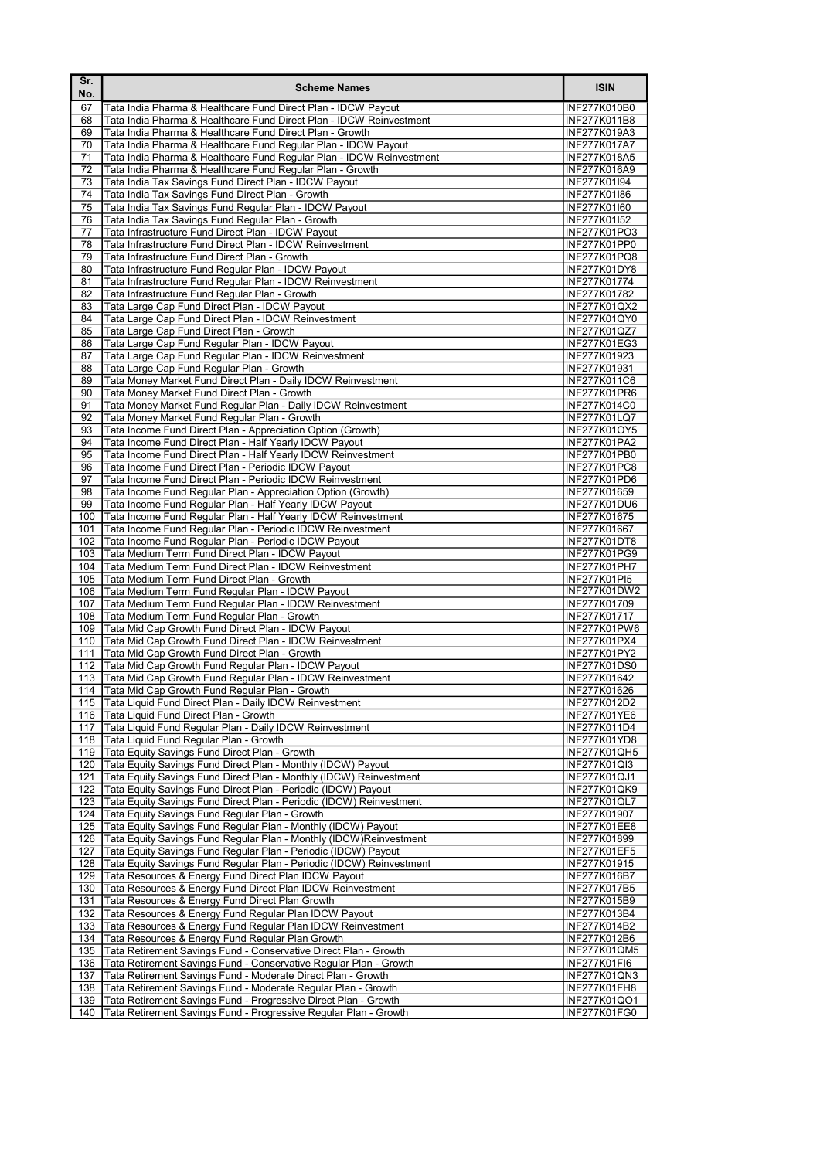| Sr.<br>No. | <b>Scheme Names</b>                                                                                                                    | <b>ISIN</b>                         |
|------------|----------------------------------------------------------------------------------------------------------------------------------------|-------------------------------------|
| 67         | Tata India Pharma & Healthcare Fund Direct Plan - IDCW Payout                                                                          | INF277K010B0                        |
| 68         | Tata India Pharma & Healthcare Fund Direct Plan - IDCW Reinvestment                                                                    | INF277K011B8                        |
| 69         | Tata India Pharma & Healthcare Fund Direct Plan - Growth                                                                               | INF277K019A3                        |
| 70<br>71   | Tata India Pharma & Healthcare Fund Regular Plan - IDCW Payout<br>Tata India Pharma & Healthcare Fund Regular Plan - IDCW Reinvestment | <b>INF277K017A7</b><br>INF277K018A5 |
| 72         | Tata India Pharma & Healthcare Fund Regular Plan - Growth                                                                              | INF277K016A9                        |
| 73         | Tata India Tax Savings Fund Direct Plan - IDCW Payout                                                                                  | INF277K01I94                        |
| 74         | Tata India Tax Savings Fund Direct Plan - Growth                                                                                       | INF277K01I86                        |
| 75         | Tata India Tax Savings Fund Regular Plan - IDCW Payout                                                                                 | INF277K01I60                        |
| 76         | Tata India Tax Savings Fund Regular Plan - Growth                                                                                      | INF277K01I52<br><b>INF277K01PO3</b> |
| 77<br>78   | Tata Infrastructure Fund Direct Plan - IDCW Payout<br>Tata Infrastructure Fund Direct Plan - IDCW Reinvestment                         | INF277K01PP0                        |
| 79         | Tata Infrastructure Fund Direct Plan - Growth                                                                                          | INF277K01PQ8                        |
| 80         | Tata Infrastructure Fund Regular Plan - IDCW Payout                                                                                    | INF277K01DY8                        |
| 81         | Tata Infrastructure Fund Regular Plan - IDCW Reinvestment                                                                              | INF277K01774                        |
| 82         | Tata Infrastructure Fund Regular Plan - Growth                                                                                         | INF277K01782                        |
| 83<br>84   | Tata Large Cap Fund Direct Plan - IDCW Payout<br>Tata Large Cap Fund Direct Plan - IDCW Reinvestment                                   | INF277K01QX2<br>INF277K01QY0        |
| 85         | Tata Large Cap Fund Direct Plan - Growth                                                                                               | INF277K01QZ7                        |
| 86         | Tata Large Cap Fund Regular Plan - IDCW Payout                                                                                         | INF277K01EG3                        |
| 87         | Tata Large Cap Fund Regular Plan - IDCW Reinvestment                                                                                   | INF277K01923                        |
| 88         | Tata Large Cap Fund Regular Plan - Growth                                                                                              | INF277K01931                        |
| 89<br>90   | Tata Money Market Fund Direct Plan - Daily IDCW Reinvestment<br>Tata Money Market Fund Direct Plan - Growth                            | INF277K011C6<br>INF277K01PR6        |
| 91         | Tata Money Market Fund Regular Plan - Daily IDCW Reinvestment                                                                          | INF277K014C0                        |
| 92         | Tata Money Market Fund Regular Plan - Growth                                                                                           | <b>INF277K01LQ7</b>                 |
| 93         | Tata Income Fund Direct Plan - Appreciation Option (Growth)                                                                            | INF277K01OY5                        |
| 94         | Tata Income Fund Direct Plan - Half Yearly IDCW Payout                                                                                 | <b>INF277K01PA2</b>                 |
| 95<br>96   | Tata Income Fund Direct Plan - Half Yearly IDCW Reinvestment<br>Tata Income Fund Direct Plan - Periodic IDCW Payout                    | INF277K01PB0<br>INF277K01PC8        |
| 97         | Tata Income Fund Direct Plan - Periodic IDCW Reinvestment                                                                              | INF277K01PD6                        |
| 98         | Tata Income Fund Regular Plan - Appreciation Option (Growth)                                                                           | <b>INF277K01659</b>                 |
| 99         | Tata Income Fund Regular Plan - Half Yearly IDCW Payout                                                                                | INF277K01DU6                        |
| 100<br>101 | Tata Income Fund Regular Plan - Half Yearly IDCW Reinvestment<br>Tata Income Fund Regular Plan - Periodic IDCW Reinvestment            | INF277K01675<br>INF277K01667        |
| 102        | Tata Income Fund Regular Plan - Periodic IDCW Payout                                                                                   | INF277K01DT8                        |
| 103        | Tata Medium Term Fund Direct Plan - IDCW Payout                                                                                        | INF277K01PG9                        |
| 104        | Tata Medium Term Fund Direct Plan - IDCW Reinvestment                                                                                  | INF277K01PH7                        |
| 105        | Tata Medium Term Fund Direct Plan - Growth<br>Tata Medium Term Fund Regular Plan - IDCW Payout                                         | INF277K01PI5                        |
| 106<br>107 | Tata Medium Term Fund Regular Plan - IDCW Reinvestment                                                                                 | INF277K01DW2<br><b>INF277K01709</b> |
| 108        | Tata Medium Term Fund Regular Plan - Growth                                                                                            | INF277K01717                        |
| 109        | Tata Mid Cap Growth Fund Direct Plan - IDCW Payout                                                                                     | INF277K01PW6                        |
| 110        | Tata Mid Cap Growth Fund Direct Plan - IDCW Reinvestment                                                                               | INF277K01PX4                        |
| 111<br>112 | Tata Mid Cap Growth Fund Direct Plan - Growth<br>Tata Mid Cap Growth Fund Regular Plan - IDCW Payout                                   | INF277K01PY2<br>INF277K01DS0        |
| 113        | Tata Mid Cap Growth Fund Regular Plan - IDCW Reinvestment                                                                              | INF277K01642                        |
|            | 114 Tata Mid Cap Growth Fund Regular Plan - Growth                                                                                     | INF277K01626                        |
| 115        | Tata Liquid Fund Direct Plan - Daily IDCW Reinvestment                                                                                 | INF277K012D2                        |
| 116<br>117 | Tata Liquid Fund Direct Plan - Growth<br>Tata Liquid Fund Regular Plan - Daily IDCW Reinvestment                                       | INF277K01YE6<br>INF277K011D4        |
| 118        | Tata Liquid Fund Regular Plan - Growth                                                                                                 | INF277K01YD8                        |
| 119        | Tata Equity Savings Fund Direct Plan - Growth                                                                                          | INF277K01QH5                        |
| 120        | Tata Equity Savings Fund Direct Plan - Monthly (IDCW) Payout                                                                           | INF277K01QI3                        |
| 121        | Tata Equity Savings Fund Direct Plan - Monthly (IDCW) Reinvestment                                                                     | INF277K01QJ1                        |
| 122<br>123 | Tata Equity Savings Fund Direct Plan - Periodic (IDCW) Payout<br>Tata Equity Savings Fund Direct Plan - Periodic (IDCW) Reinvestment   | INF277K01QK9<br>INF277K01QL7        |
| 124        | Tata Equity Savings Fund Regular Plan - Growth                                                                                         | INF277K01907                        |
| 125        | Tata Equity Savings Fund Regular Plan - Monthly (IDCW) Payout                                                                          | <b>INF277K01EE8</b>                 |
| 126        | Tata Equity Savings Fund Regular Plan - Monthly (IDCW)Reinvestment                                                                     | INF277K01899                        |
| 127<br>128 | Tata Equity Savings Fund Regular Plan - Periodic (IDCW) Payout<br>Tata Equity Savings Fund Regular Plan - Periodic (IDCW) Reinvestment | <b>INF277K01EF5</b><br>INF277K01915 |
| 129        | Tata Resources & Energy Fund Direct Plan IDCW Payout                                                                                   | INF277K016B7                        |
| 130        | Tata Resources & Energy Fund Direct Plan IDCW Reinvestment                                                                             | INF277K017B5                        |
| 131        | Tata Resources & Energy Fund Direct Plan Growth                                                                                        | INF277K015B9                        |
| 132<br>133 | Tata Resources & Energy Fund Regular Plan IDCW Payout<br>Tata Resources & Energy Fund Regular Plan IDCW Reinvestment                   | INF277K013B4<br>INF277K014B2        |
| 134        | Tata Resources & Energy Fund Regular Plan Growth                                                                                       | INF277K012B6                        |
| 135        | Tata Retirement Savings Fund - Conservative Direct Plan - Growth                                                                       | INF277K01QM5                        |
| 136        | Tata Retirement Savings Fund - Conservative Regular Plan - Growth                                                                      | <b>INF277K01FI6</b>                 |
| 137<br>138 | Tata Retirement Savings Fund - Moderate Direct Plan - Growth<br>Tata Retirement Savings Fund - Moderate Regular Plan - Growth          | INF277K01QN3<br>INF277K01FH8        |
| 139        | Tata Retirement Savings Fund - Progressive Direct Plan - Growth                                                                        | INF277K01QO1                        |
| 140        | Tata Retirement Savings Fund - Progressive Regular Plan - Growth                                                                       | INF277K01FG0                        |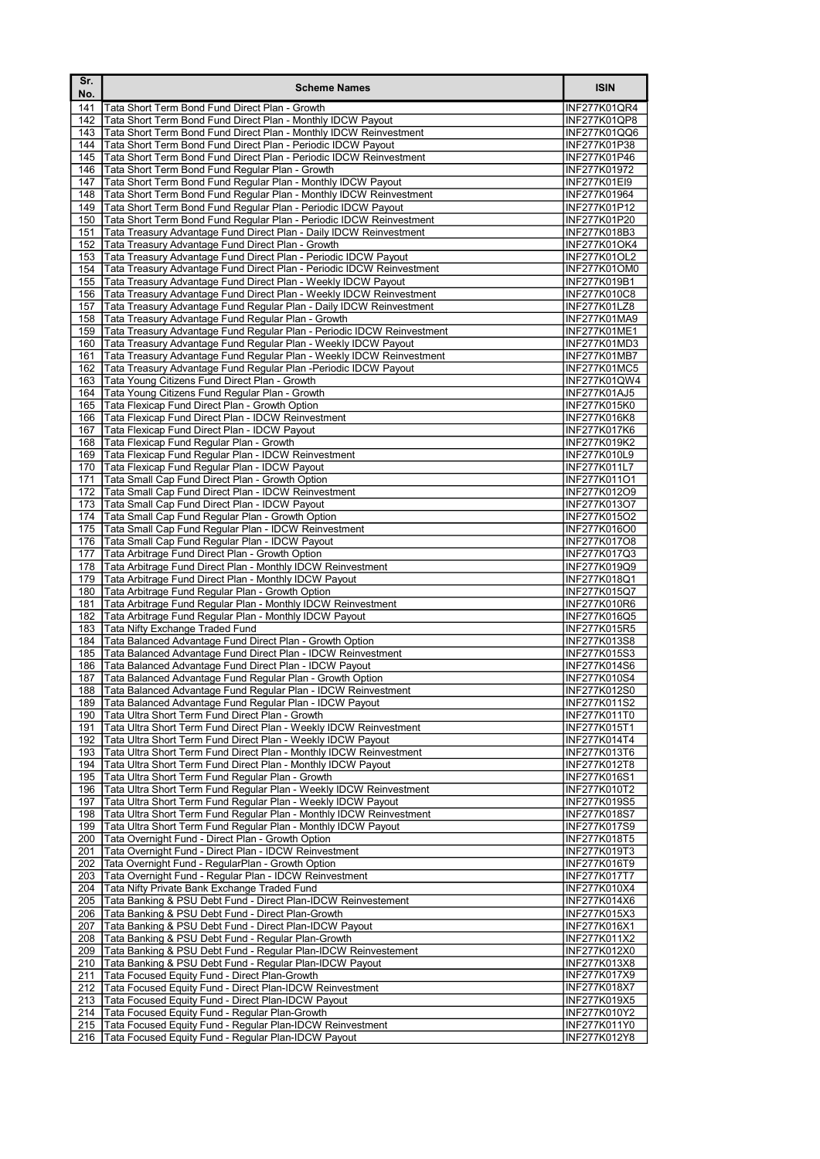| 厂Sr.<br>No. | <b>Scheme Names</b>                                                                                                                      | <b>ISIN</b>                         |
|-------------|------------------------------------------------------------------------------------------------------------------------------------------|-------------------------------------|
| 141         | Tata Short Term Bond Fund Direct Plan - Growth                                                                                           | INF277K01QR4                        |
| 142         | Tata Short Term Bond Fund Direct Plan - Monthly IDCW Payout                                                                              | <b>INF277K01QP8</b>                 |
| 143         | Tata Short Term Bond Fund Direct Plan - Monthly IDCW Reinvestment                                                                        | INF277K01QQ6                        |
| 144<br>145  | Tata Short Term Bond Fund Direct Plan - Periodic IDCW Payout<br>Tata Short Term Bond Fund Direct Plan - Periodic IDCW Reinvestment       | INF277K01P38<br>INF277K01P46        |
| 146         | Tata Short Term Bond Fund Regular Plan - Growth                                                                                          | INF277K01972                        |
| 147         | Tata Short Term Bond Fund Regular Plan - Monthly IDCW Payout                                                                             | INF277K01EI9                        |
| 148         | Tata Short Term Bond Fund Regular Plan - Monthly IDCW Reinvestment                                                                       | INF277K01964                        |
| 149         | Tata Short Term Bond Fund Regular Plan - Periodic IDCW Payout                                                                            | INF277K01P12                        |
| 150         | Tata Short Term Bond Fund Regular Plan - Periodic IDCW Reinvestment                                                                      | INF277K01P20                        |
| 151         | Tata Treasury Advantage Fund Direct Plan - Daily IDCW Reinvestment                                                                       | INF277K018B3<br><b>INF277K01OK4</b> |
| 152<br>153  | Tata Treasury Advantage Fund Direct Plan - Growth<br>Tata Treasury Advantage Fund Direct Plan - Periodic IDCW Payout                     | INF277K01OL2                        |
| 154         | Tata Treasury Advantage Fund Direct Plan - Periodic IDCW Reinvestment                                                                    | INF277K01OM0                        |
| 155         | Tata Treasury Advantage Fund Direct Plan - Weekly IDCW Payout                                                                            | INF277K019B1                        |
| 156         | Tata Treasury Advantage Fund Direct Plan - Weekly IDCW Reinvestment                                                                      | INF277K010C8                        |
| 157         | Tata Treasury Advantage Fund Regular Plan - Daily IDCW Reinvestment                                                                      | INF277K01LZ8                        |
| 158         | Tata Treasury Advantage Fund Regular Plan - Growth                                                                                       | INF277K01MA9                        |
| 159<br>160  | Tata Treasury Advantage Fund Regular Plan - Periodic IDCW Reinvestment<br>Tata Treasury Advantage Fund Regular Plan - Weekly IDCW Payout | INF277K01ME1<br>INF277K01MD3        |
| 161         | Tata Treasury Advantage Fund Regular Plan - Weekly IDCW Reinvestment                                                                     | <b>INF277K01MB7</b>                 |
| 162         | Tata Treasury Advantage Fund Regular Plan - Periodic IDCW Payout                                                                         | <b>INF277K01MC5</b>                 |
| 163         | Tata Young Citizens Fund Direct Plan - Growth                                                                                            | <b>INF277K01QW4</b>                 |
| 164         | Tata Young Citizens Fund Regular Plan - Growth                                                                                           | INF277K01AJ5                        |
| 165         | Tata Flexicap Fund Direct Plan - Growth Option                                                                                           | INF277K015K0                        |
| 166         | Tata Flexicap Fund Direct Plan - IDCW Reinvestment                                                                                       | INF277K016K8                        |
| 167<br>168  | Tata Flexicap Fund Direct Plan - IDCW Payout<br>Tata Flexicap Fund Regular Plan - Growth                                                 | INF277K017K6<br>INF277K019K2        |
| 169         | Tata Flexicap Fund Regular Plan - IDCW Reinvestment                                                                                      | INF277K010L9                        |
| 170         | Tata Flexicap Fund Regular Plan - IDCW Payout                                                                                            | INF277K011L7                        |
| 171         | Tata Small Cap Fund Direct Plan - Growth Option                                                                                          | INF277K011O1                        |
| 172         | Tata Small Cap Fund Direct Plan - IDCW Reinvestment                                                                                      | INF277K012O9                        |
| 173         | Tata Small Cap Fund Direct Plan - IDCW Payout                                                                                            | INF277K013O7                        |
| 174<br>175  | Tata Small Cap Fund Regular Plan - Growth Option<br>Tata Small Cap Fund Regular Plan - IDCW Reinvestment                                 | INF277K015O2<br>INF277K016O0        |
| 176         | Tata Small Cap Fund Regular Plan - IDCW Payout                                                                                           | INF277K017O8                        |
| 177         | Tata Arbitrage Fund Direct Plan - Growth Option                                                                                          | INF277K017Q3                        |
| 178         | Tata Arbitrage Fund Direct Plan - Monthly IDCW Reinvestment                                                                              | INF277K019Q9                        |
| 179         | Tata Arbitrage Fund Direct Plan - Monthly IDCW Payout                                                                                    | INF277K018Q1                        |
| 180         | Tata Arbitrage Fund Regular Plan - Growth Option                                                                                         | INF277K015Q7                        |
| 181<br>182  | Tata Arbitrage Fund Regular Plan - Monthly IDCW Reinvestment                                                                             | INF277K010R6                        |
| 183         | Tata Arbitrage Fund Regular Plan - Monthly IDCW Payout<br>Tata Nifty Exchange Traded Fund                                                | INF277K016Q5<br>INF277K015R5        |
| 184         | Tata Balanced Advantage Fund Direct Plan - Growth Option                                                                                 | INF277K013S8                        |
| 185         | Tata Balanced Advantage Fund Direct Plan - IDCW Reinvestment                                                                             | INF277K015S3                        |
| 186         | Tata Balanced Advantage Fund Direct Plan - IDCW Payout                                                                                   | INF277K014S6                        |
| 187         | Tata Balanced Advantage Fund Regular Plan - Growth Option                                                                                | INF277K010S4                        |
|             | 188 Tata Balanced Advantage Fund Regular Plan - IDCW Reinvestment                                                                        | <b>INF277K012S0</b>                 |
| 189<br>190  | Tata Balanced Advantage Fund Regular Plan - IDCW Payout<br>Tata Ultra Short Term Fund Direct Plan - Growth                               | INF277K011S2<br>INF277K011T0        |
| 191         | Tata Ultra Short Term Fund Direct Plan - Weekly IDCW Reinvestment                                                                        | INF277K015T1                        |
| 192         | Tata Ultra Short Term Fund Direct Plan - Weekly IDCW Payout                                                                              | INF277K014T4                        |
| 193         | Tata Ultra Short Term Fund Direct Plan - Monthly IDCW Reinvestment                                                                       | INF277K013T6                        |
| 194         | Tata Ultra Short Term Fund Direct Plan - Monthly IDCW Payout                                                                             | INF277K012T8                        |
| 195         | Tata Ultra Short Term Fund Regular Plan - Growth                                                                                         | INF277K016S1                        |
| 196<br>197  | Tata Ultra Short Term Fund Regular Plan - Weekly IDCW Reinvestment<br>Tata Ultra Short Term Fund Regular Plan - Weekly IDCW Payout       | INF277K010T2<br>INF277K019S5        |
| 198         | Tata Ultra Short Term Fund Regular Plan - Monthly IDCW Reinvestment                                                                      | INF277K018S7                        |
| 199         | Tata Ultra Short Term Fund Regular Plan - Monthly IDCW Payout                                                                            | INF277K017S9                        |
| 200         | Tata Overnight Fund - Direct Plan - Growth Option                                                                                        | INF277K018T5                        |
| 201         | Tata Overnight Fund - Direct Plan - IDCW Reinvestment                                                                                    | INF277K019T3                        |
| 202         | Tata Overnight Fund - RegularPlan - Growth Option                                                                                        | INF277K016T9                        |
| 203         | Tata Overnight Fund - Regular Plan - IDCW Reinvestment                                                                                   | INF277K017T7                        |
| 204<br>205  | Tata Nifty Private Bank Exchange Traded Fund<br>Tata Banking & PSU Debt Fund - Direct Plan-IDCW Reinvestement                            | INF277K010X4<br>INF277K014X6        |
| 206         | Tata Banking & PSU Debt Fund - Direct Plan-Growth                                                                                        | INF277K015X3                        |
| 207         | Tata Banking & PSU Debt Fund - Direct Plan-IDCW Payout                                                                                   | INF277K016X1                        |
| 208         | Tata Banking & PSU Debt Fund - Regular Plan-Growth                                                                                       | INF277K011X2                        |
| 209         | Tata Banking & PSU Debt Fund - Regular Plan-IDCW Reinvestement                                                                           | INF277K012X0                        |
| 210         | Tata Banking & PSU Debt Fund - Regular Plan-IDCW Payout                                                                                  | INF277K013X8                        |
| 211         | Tata Focused Equity Fund - Direct Plan-Growth                                                                                            | INF277K017X9                        |
| 212<br>213  | Tata Focused Equity Fund - Direct Plan-IDCW Reinvestment<br>Tata Focused Equity Fund - Direct Plan-IDCW Payout                           | INF277K018X7<br>INF277K019X5        |
| 214         | Tata Focused Equity Fund - Regular Plan-Growth                                                                                           | INF277K010Y2                        |
| 215         | Tata Focused Equity Fund - Regular Plan-IDCW Reinvestment                                                                                | INF277K011Y0                        |
| 216         | Tata Focused Equity Fund - Regular Plan-IDCW Payout                                                                                      | INF277K012Y8                        |